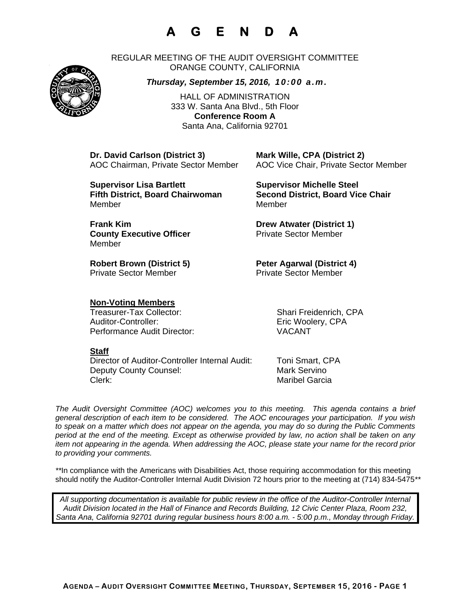# **A G E N D A**

REGULAR MEETING OF THE AUDIT OVERSIGHT COMMITTEE ORANGE COUNTY, CALIFORNIA

### *Thursday, September 15, 2016, 10:00 a.m.*

HALL OF ADMINISTRATION 333 W. Santa Ana Blvd., 5th Floor **Conference Room A**  Santa Ana, California 92701

**Dr. David Carlson (District 3) Mark Wille, CPA (District 2)**

AOC Chairman, Private Sector Member AOC Vice Chair, Private Sector Member

**Supervisor Lisa Bartlett Michelle Steel Supervisor Michelle Steel** MemberMember

**County Executive Officer Private Sector Member** Member

Private Sector Member **Private Sector Member** 

**Fifth District, Board Chairwoman Second District, Board Vice Chair** 

**Frank Kim Drew Atwater (District 1)** 

Robert Brown (District 5) **Peter Agarwal (District 4)** 

### **Non-Voting Members**

Treasurer-Tax Collector: Shari Freidenrich, CPA Auditor-Controller: Eric Woolery, CPA Performance Audit Director: VACANT

#### **Staff**

Director of Auditor-Controller Internal Audit: Toni Smart, CPA Deputy County Counsel: Mark Servino Clerk: Maribel Garcia

*The Audit Oversight Committee (AOC) welcomes you to this meeting. This agenda contains a brief general description of each item to be considered. The AOC encourages your participation. If you wish to speak on a matter which does not appear on the agenda, you may do so during the Public Comments period at the end of the meeting. Except as otherwise provided by law, no action shall be taken on any item not appearing in the agenda. When addressing the AOC, please state your name for the record prior to providing your comments.* 

*\*\**In compliance with the Americans with Disabilities Act, those requiring accommodation for this meeting should notify the Auditor-Controller Internal Audit Division 72 hours prior to the meeting at (714) 834-5475*\*\** 

*All supporting documentation is available for public review in the office of the Auditor-Controller Internal Audit Division located in the Hall of Finance and Records Building, 12 Civic Center Plaza, Room 232, Santa Ana, California 92701 during regular business hours 8:00 a.m. - 5:00 p.m., Monday through Friday.* 



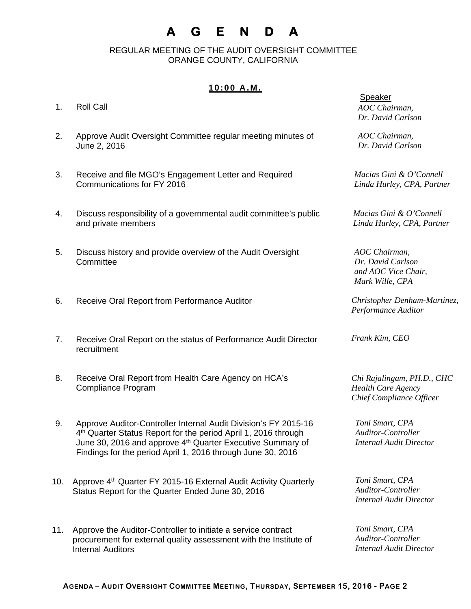## **A G E N D A**

 REGULAR MEETING OF THE AUDIT OVERSIGHT COMMITTEE ORANGE COUNTY, CALIFORNIA

### **10:00 A.M.**

- 1. Roll Call
- 2. Approve Audit Oversight Committee regular meeting minutes of June 2, 2016
- 3. Receive and file MGO's Engagement Letter and Required Communications for FY 2016
- 4. Discuss responsibility of a governmental audit committee's public and private members
- 5. Discuss history and provide overview of the Audit Oversight **Committee**
- 6. Receive Oral Report from Performance Auditor
- 7. Receive Oral Report on the status of Performance Audit Director recruitment
- 8. Receive Oral Report from Health Care Agency on HCA's Compliance Program
- 9. Approve Auditor-Controller Internal Audit Division's FY 2015-16 4<sup>th</sup> Quarter Status Report for the period April 1, 2016 through June 30, 2016 and approve 4<sup>th</sup> Quarter Executive Summary of Findings for the period April 1, 2016 through June 30, 2016
- 10. Approve 4<sup>th</sup> Quarter FY 2015-16 External Audit Activity Quarterly Status Report for the Quarter Ended June 30, 2016
- 11. Approve the Auditor-Controller to initiate a service contract procurement for external quality assessment with the Institute of Internal Auditors

*AOC Chairman, Dr. David Carlson* 

*AOC Chairman, Dr. David Carlson* 

*Macias Gini & O'Connell Linda Hurley, CPA, Partner* 

*Macias Gini & O'Connell Linda Hurley, CPA, Partner* 

*AOC Chairman, Dr. David Carlson and AOC Vice Chair, Mark Wille, CPA* 

*Christopher Denham-Martinez, Performance Auditor* 

*Frank Kim, CEO* 

*Chi Rajalingam, PH.D., CHC Health Care Agency Chief Compliance Officer* 

*Toni Smart, CPA Auditor-Controller Internal Audit Director* 

*Toni Smart, CPA Auditor-Controller Internal Audit Director* 

*Toni Smart, CPA Auditor-Controller Internal Audit Director*